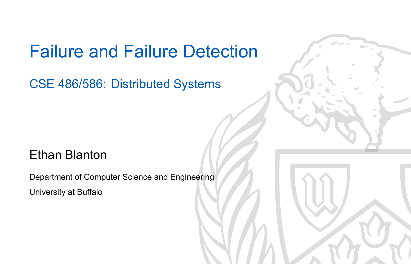### Failure and Failure Detection

CSE 486/586: Distributed Systems

### Ethan Blanton

Department of Computer Science and Engineering University at Buffalo

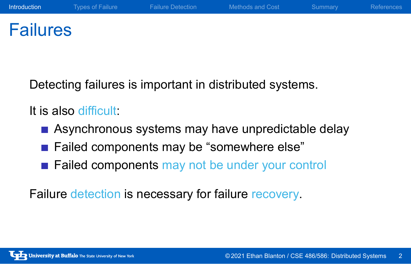### Failures

Detecting failures is important in distributed systems.

It is also difficult:

- Asynchronous systems may have unpredictable delay
- Failed components may be "somewhere else"
- **Failed components may not be under your control**

Failure detection is necessary for failure recovery.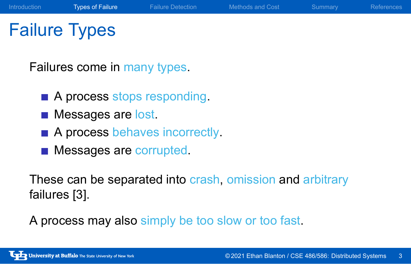## Failure Types

Failures come in many types.

- A process stops responding.
- **Messages are lost.**
- A process behaves incorrectly.
- **Messages are corrupted.**

These can be separated into crash, omission and arbitrary failures [3].

A process may also simply be too slow or too fast.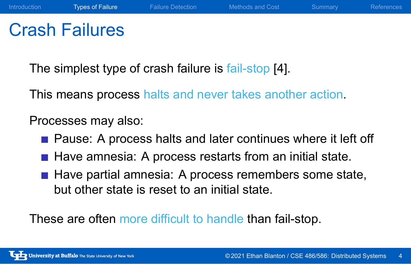### Crash Failures

The simplest type of crash failure is fail-stop [4].

This means process halts and never takes another action.

### Processes may also:

- **Pause: A process halts and later continues where it left off**
- Have amnesia: A process restarts from an initial state.
- $\blacksquare$  Have partial amnesia: A process remembers some state, but other state is reset to an initial state.

These are often more difficult to handle than fail-stop.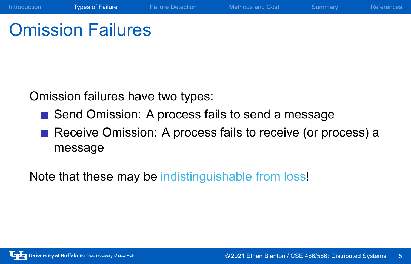## Omission Failures

Omission failures have two types:

- Send Omission: A process fails to send a message
- Receive Omission: A process fails to receive (or process) a message

Introduction **Types of Failure** Failure Detection Methods and Cost Summary References

Note that these may be indistinguishable from loss!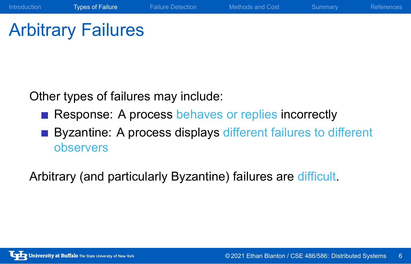# Arbitrary Failures

Other types of failures may include:

- Response: A process behaves or replies incorrectly
- Byzantine: A process displays different failures to different observers

Introduction Types of Failure Failure Detection Methods and Cost Summary References

Arbitrary (and particularly Byzantine) failures are difficult.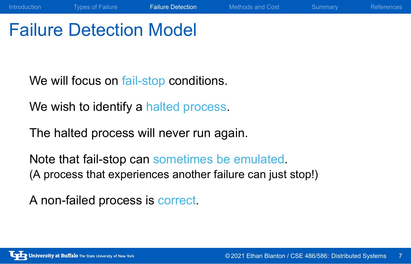Failure Detection Model

We will focus on fail-stop conditions.

We wish to identify a halted process.

The halted process will never run again.

Note that fail-stop can sometimes be emulated. (A process that experiences another failure can just stop!)

A non-failed process is correct.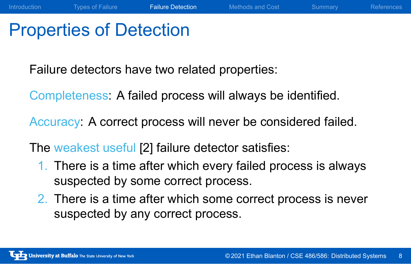## Properties of Detection

Failure detectors have two related properties:

Completeness: A failed process will always be identified.

Accuracy: A correct process will never be considered failed.

The weakest useful [2] failure detector satisfies:

- 1. There is a time after which every failed process is always suspected by some correct process.
- 2. There is a time after which some correct process is never suspected by any correct process.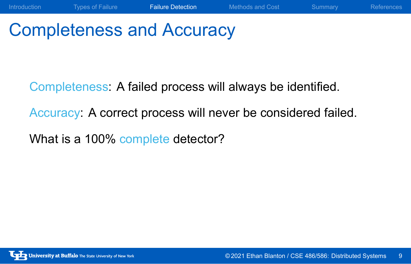## Completeness and Accuracy

Completeness: A failed process will always be identified.

Accuracy: A correct process will never be considered failed.

Introduction Types of Failure **Failure Detection** Methods and Cost Summary References

What is a 100% complete detector?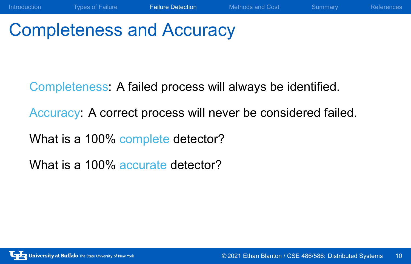# Completeness and Accuracy

Completeness: A failed process will always be identified.

Accuracy: A correct process will never be considered failed.

Introduction Types of Failure **Failure Detection** Methods and Cost Summary References

What is a 100% complete detector?

What is a 100% accurate detector?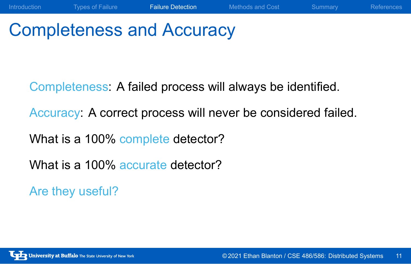## Completeness and Accuracy

Completeness: A failed process will always be identified.

Accuracy: A correct process will never be considered failed.

Introduction Types of Failure **Failure Detection** Methods and Cost Summary References

What is a 100% complete detector?

What is a 100% accurate detector?

Are they useful?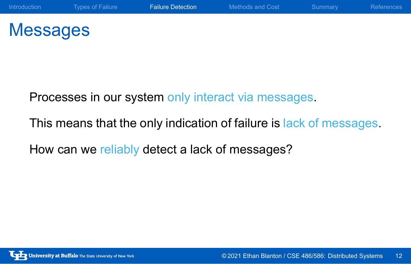## Messages

Processes in our system only interact via messages.

This means that the only indication of failure is lack of messages.

How can we reliably detect a lack of messages?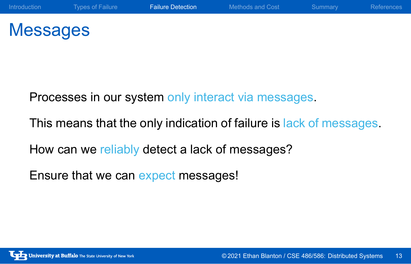## Messages

Processes in our system only interact via messages.

This means that the only indication of failure is lack of messages.

How can we reliably detect a lack of messages?

Ensure that we can expect messages!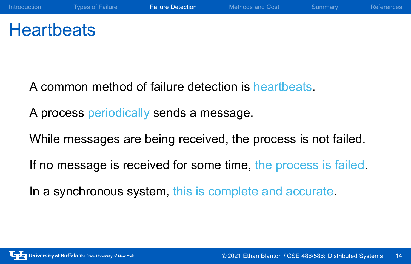## **Heartbeats**

A common method of failure detection is heartbeats.

A process periodically sends a message.

While messages are being received, the process is not failed.

If no message is received for some time, the process is failed.

In a synchronous system, this is complete and accurate.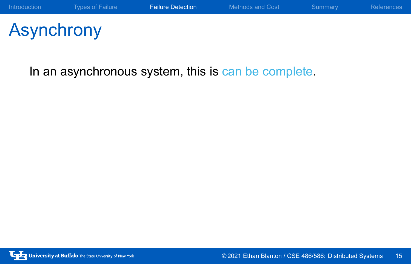# Asynchrony

In an asynchronous system, this is can be complete.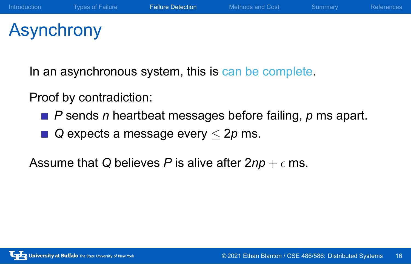## Asynchrony

In an asynchronous system, this is can be complete.

Proof by contradiction:

- *P* sends *n* heartbeat messages before failing, *p* ms apart.
- *Q* expects a message every *≤* 2*p* ms.

Assume that *Q* believes *P* is alive after  $2np + \epsilon$  ms.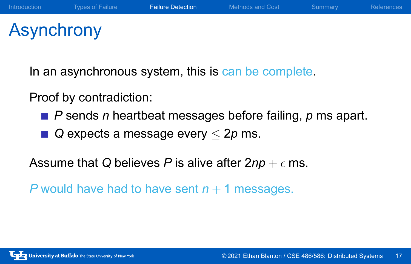## Asynchrony

In an asynchronous system, this is can be complete.

Proof by contradiction:

- *P* sends *n* heartbeat messages before failing, *p* ms apart.
- *Q* expects a message every *≤* 2*p* ms.

Assume that *Q* believes *P* is alive after  $2np + \epsilon$  ms.

*P* would have had to have sent  $n + 1$  messages.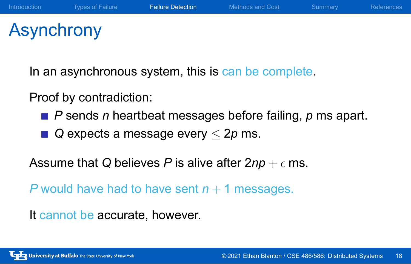## Asynchrony

In an asynchronous system, this is can be complete.

Proof by contradiction:

- *P* sends *n* heartbeat messages before failing, *p* ms apart.
- *Q* expects a message every *≤* 2*p* ms.

Assume that *Q* believes *P* is alive after  $2np + \epsilon$  ms.

*P* would have had to have sent  $n + 1$  messages.

It cannot be accurate, however.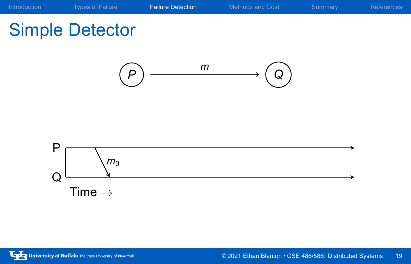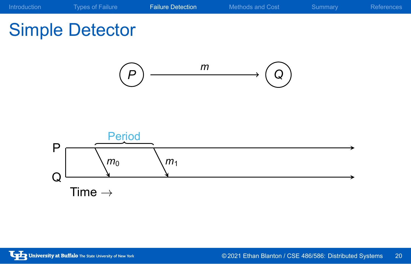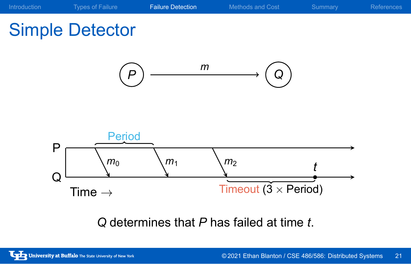

*Q* determines that *P* has failed at time *t*.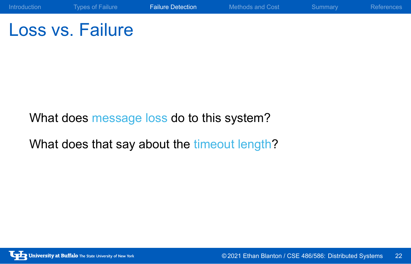Loss vs. Failure

What does message loss do to this system?

What does that say about the timeout length?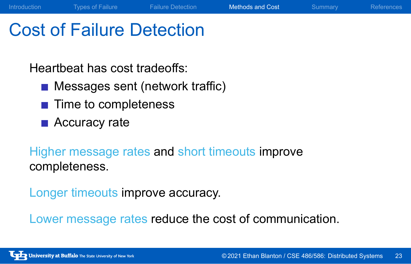### Cost of Failure Detection

Heartbeat has cost tradeoffs:

- **Messages sent (network traffic)**
- **■** Time to completeness
- **Accuracy rate**

Higher message rates and short timeouts improve completeness.

Longer timeouts improve accuracy.

Lower message rates reduce the cost of communication.

Introduction Types of Failure **Failure Detection** Methods and Cost Summary References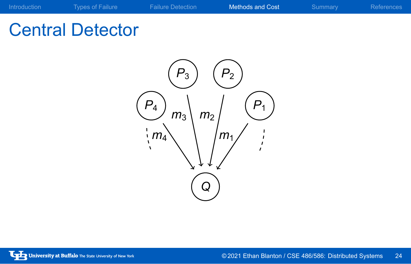## Central Detector

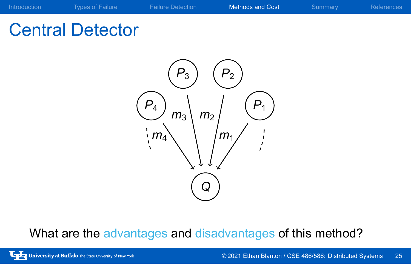## Central Detector



What are the advantages and disadvantages of this method?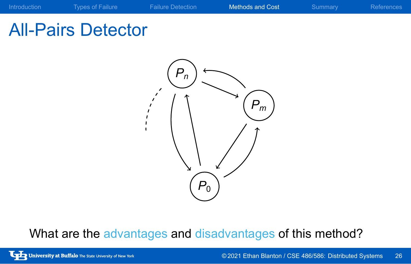



What are the advantages and disadvantages of this method?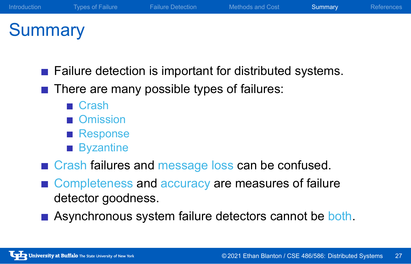### **Summary**

- **Failure detection is important for distributed systems.**
- There are many possible types of failures:
	- Crash
	- Omission
	- Response
	- **Byzantine**
- **Crash failures and message loss can be confused.**
- Completeness and accuracy are measures of failure detector goodness.
- Asynchronous system failure detectors cannot be both.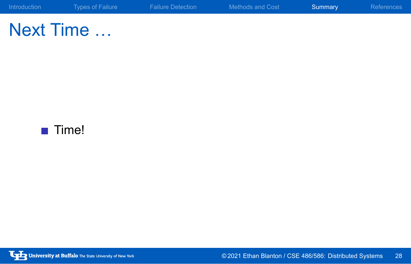Next Time …

■ Time!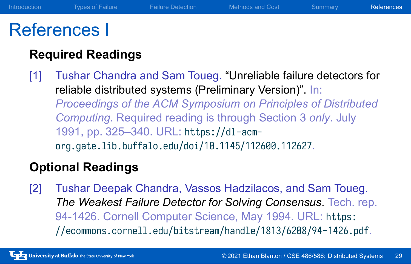### References I

### **Required Readings**

[1] Tushar Chandra and Sam Toueg. "Unreliable failure detectors for reliable distributed systems (Preliminary Version)". In: *Proceedings of the ACM Symposium on Principles of Distributed Computing*. Required reading is through Section 3 *only*. July 1991, pp. 325–340. URL: https://dl-acmorg.gate.lib.buffalo.edu/doi/10.1145/112600.112627.

### **Optional Readings**

[2] Tushar Deepak Chandra, Vassos Hadzilacos, and Sam Toueg. *The Weakest Failure Detector for Solving Consensus*. Tech. rep. 94-1426. Cornell Computer Science, May 1994. URL: https: //ecommons.cornell.edu/bitstream/handle/1813/6208/94-1426.pdf.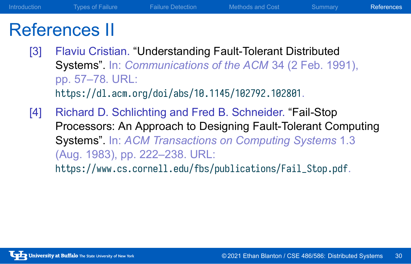### References II

- [3] Flaviu Cristian. "Understanding Fault-Tolerant Distributed Systems". In: *Communications of the ACM* 34 (2 Feb. 1991), pp. 57–78. URL: https://dl.acm.org/doi/abs/10.1145/102792.102801.
- [4] Richard D. Schlichting and Fred B. Schneider. "Fail-Stop Processors: An Approach to Designing Fault-Tolerant Computing Systems". In: *ACM Transactions on Computing Systems* 1.3 (Aug. 1983), pp. 222–238. URL: https://www.cs.cornell.edu/fbs/publications/Fail\_Stop.pdf.